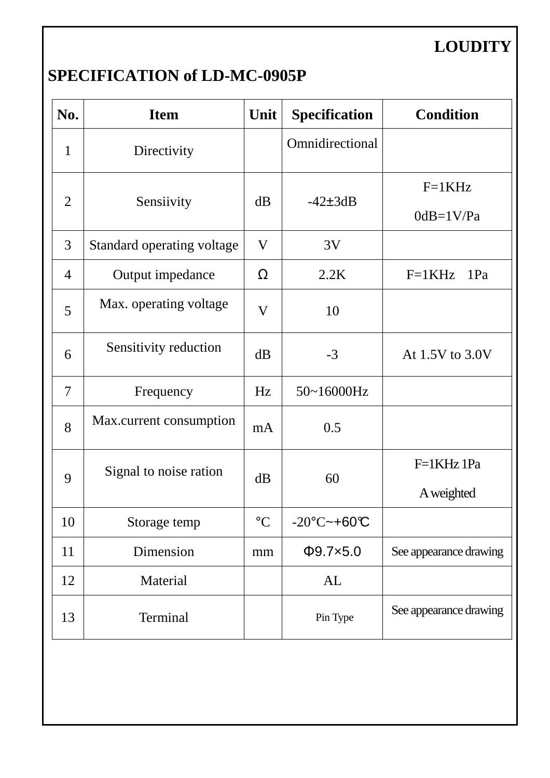# **LOUDITY**

### **SPECIFICATION of LD-MC-0905P**

| No.            | <b>Item</b>                | Unit<br><b>Specification</b> |                       | <b>Condition</b>        |
|----------------|----------------------------|------------------------------|-----------------------|-------------------------|
| $\mathbf{1}$   | Directivity                |                              | Omnidirectional       |                         |
| $\overline{2}$ | dB<br>Sensiivity           |                              | $-42\pm 3dB$          | $F=1KHz$<br>$0dB=1V/Pa$ |
| 3              | Standard operating voltage | V                            | 3V                    |                         |
| $\overline{4}$ | Output impedance           | Ω                            | 2.2K                  | $F=1KHz$<br>1Pa         |
| 5              | Max. operating voltage     | V                            | 10                    |                         |
| 6              | Sensitivity reduction      | dB                           | $-3$                  | At 1.5V to 3.0V         |
| 7              | Frequency                  | Hz                           | 50~16000Hz            |                         |
| 8              | Max.current consumption    | mA                           | 0.5                   |                         |
| 9              | Signal to noise ration     | dB                           | 60                    | F=1KHz 1Pa              |
|                |                            |                              |                       | A weighted              |
| 10             | Storage temp               | $\rm ^{\circ}C$              | $-20^{\circ}$ C~+60°C |                         |
| 11             | Dimension                  | mm                           | $\Phi$ 9.7×5.0        | See appearance drawing  |
| 12             | Material                   |                              | AL                    |                         |
| 13             | Terminal                   |                              | Pin Type              | See appearance drawing  |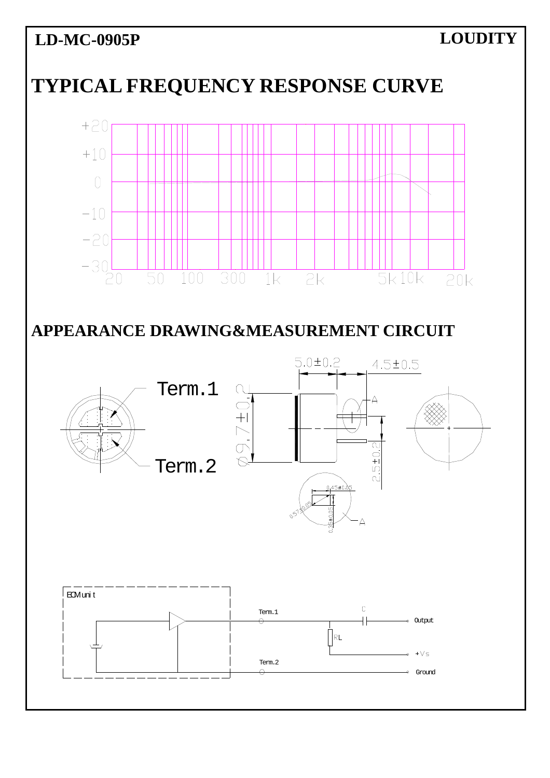